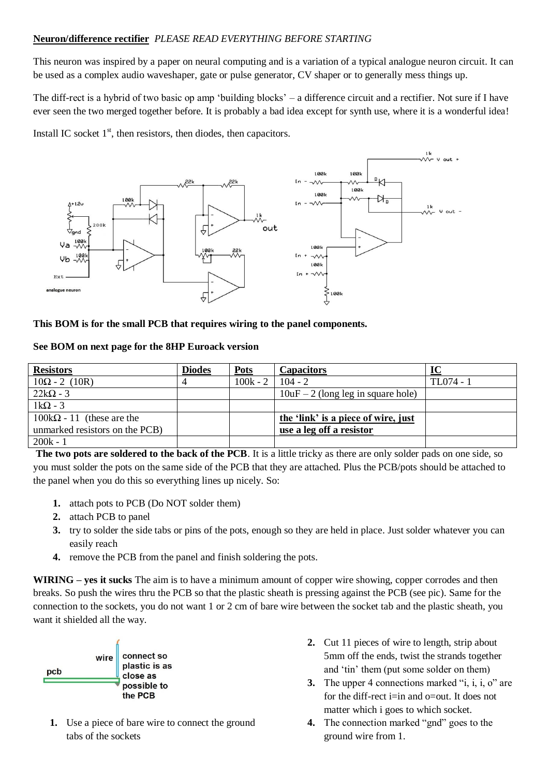## **Neuron/difference rectifier** *PLEASE READ EVERYTHING BEFORE STARTING*

This neuron was inspired by a paper on neural computing and is a variation of a typical analogue neuron circuit. It can be used as a complex audio waveshaper, gate or pulse generator, CV shaper or to generally mess things up.

The diff-rect is a hybrid of two basic op amp 'building blocks' – a difference circuit and a rectifier. Not sure if I have ever seen the two merged together before. It is probably a bad idea except for synth use, where it is a wonderful idea!

Install IC socket  $1<sup>st</sup>$ , then resistors, then diodes, then capacitors.



## **This BOM is for the small PCB that requires wiring to the panel components.**

## **See BOM on next page for the 8HP Euroack version**

| <b>Resistors</b>                 | <b>Diodes</b> | <b>Pots</b> | <b>Capacitors</b>                    | IC        |
|----------------------------------|---------------|-------------|--------------------------------------|-----------|
| $10\Omega - 2(10R)$              |               | $100k - 2$  | $104 - 2$                            | TL074 - 1 |
| $22k\Omega - 3$                  |               |             | $10uF - 2$ (long leg in square hole) |           |
| $1k\Omega - 3$                   |               |             |                                      |           |
| $100k\Omega - 11$ (these are the |               |             | the 'link' is a piece of wire, just  |           |
| unmarked resistors on the PCB)   |               |             | use a leg off a resistor             |           |
| $200k - 1$                       |               |             |                                      |           |

**The two pots are soldered to the back of the PCB**. It is a little tricky as there are only solder pads on one side, so you must solder the pots on the same side of the PCB that they are attached. Plus the PCB/pots should be attached to the panel when you do this so everything lines up nicely. So:

- **1.** attach pots to PCB (Do NOT solder them)
- **2.** attach PCB to panel
- **3.** try to solder the side tabs or pins of the pots, enough so they are held in place. Just solder whatever you can easily reach
- **4.** remove the PCB from the panel and finish soldering the pots.

**WIRING – yes it sucks** The aim is to have a minimum amount of copper wire showing, copper corrodes and then breaks. So push the wires thru the PCB so that the plastic sheath is pressing against the PCB (see pic). Same for the connection to the sockets, you do not want 1 or 2 cm of bare wire between the socket tab and the plastic sheath, you want it shielded all the way.



- **1.** Use a piece of bare wire to connect the ground tabs of the sockets
- **2.** Cut 11 pieces of wire to length, strip about 5mm off the ends, twist the strands together and 'tin' them (put some solder on them)
- **3.** The upper 4 connections marked "i, i, i, o" are for the diff-rect i=in and o=out. It does not matter which i goes to which socket.
- **4.** The connection marked "gnd" goes to the ground wire from 1.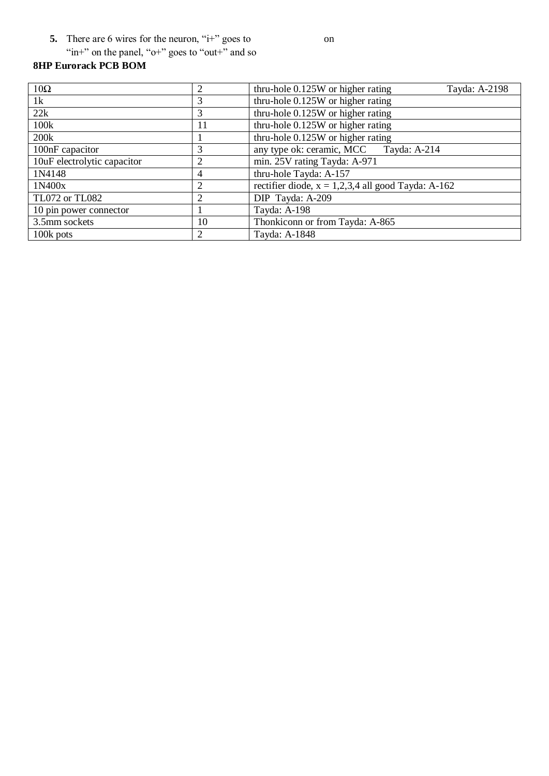**5.** There are 6 wires for the neuron, "i+" goes to

"in+" on the panel, "o+" goes to "out+" and so

## **8HP Eurorack PCB BOM**

| $10\Omega$                  |    | thru-hole $0.125W$ or higher rating<br>Tayda: A-2198 |
|-----------------------------|----|------------------------------------------------------|
| 1k                          | 3  | thru-hole 0.125W or higher rating                    |
| 22k                         | 3  | thru-hole 0.125W or higher rating                    |
| 100k                        | 11 | thru-hole 0.125W or higher rating                    |
| 200k                        |    | thru-hole 0.125W or higher rating                    |
| 100nF capacitor             |    | any type ok: ceramic, MCC<br>Tayda: A-214            |
| 10uF electrolytic capacitor |    | min. 25V rating Tayda: A-971                         |
| 1N4148                      | 4  | thru-hole Tayda: A-157                               |
| 1N400x                      |    | rectifier diode, $x = 1,2,3,4$ all good Tayda: A-162 |
| <b>TL072 or TL082</b>       | 2  | DIP Tayda: A-209                                     |
| 10 pin power connector      |    | Tayda: A-198                                         |
| 3.5mm sockets               | 10 | Thonkiconn or from Tayda: A-865                      |
| 100k pots                   | 2  | Tayda: A-1848                                        |